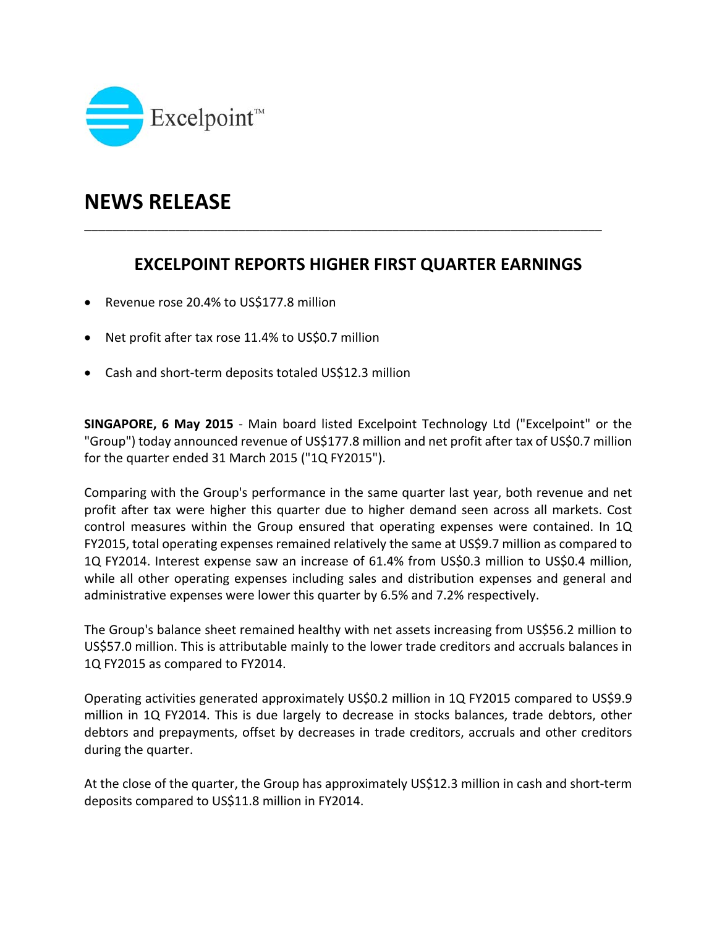

## **NEWS RELEASE**

## **EXCELPOINT REPORTS HIGHER FIRST QUARTER EARNINGS**

\_\_\_\_\_\_\_\_\_\_\_\_\_\_\_\_\_\_\_\_\_\_\_\_\_\_\_\_\_\_\_\_\_\_\_\_\_\_\_\_\_\_\_\_\_\_\_\_\_\_\_\_\_\_\_\_\_\_\_\_\_\_\_\_\_\_\_\_\_\_\_\_\_\_

- Revenue rose 20.4% to US\$177.8 million
- Net profit after tax rose 11.4% to US\$0.7 million
- Cash and short-term deposits totaled US\$12.3 million

**SINGAPORE, 6 May 2015** ‐ Main board listed Excelpoint Technology Ltd ("Excelpoint" or the "Group") today announced revenue of US\$177.8 million and net profit after tax of US\$0.7 million for the quarter ended 31 March 2015 ("1Q FY2015").

Comparing with the Group's performance in the same quarter last year, both revenue and net profit after tax were higher this quarter due to higher demand seen across all markets. Cost control measures within the Group ensured that operating expenses were contained. In 1Q FY2015, total operating expenses remained relatively the same at US\$9.7 million as compared to 1Q FY2014. Interest expense saw an increase of 61.4% from US\$0.3 million to US\$0.4 million, while all other operating expenses including sales and distribution expenses and general and administrative expenses were lower this quarter by 6.5% and 7.2% respectively.

The Group's balance sheet remained healthy with net assets increasing from US\$56.2 million to US\$57.0 million. This is attributable mainly to the lower trade creditors and accruals balances in 1Q FY2015 as compared to FY2014.

Operating activities generated approximately US\$0.2 million in 1Q FY2015 compared to US\$9.9 million in 1Q FY2014. This is due largely to decrease in stocks balances, trade debtors, other debtors and prepayments, offset by decreases in trade creditors, accruals and other creditors during the quarter.

At the close of the quarter, the Group has approximately US\$12.3 million in cash and short-term deposits compared to US\$11.8 million in FY2014.